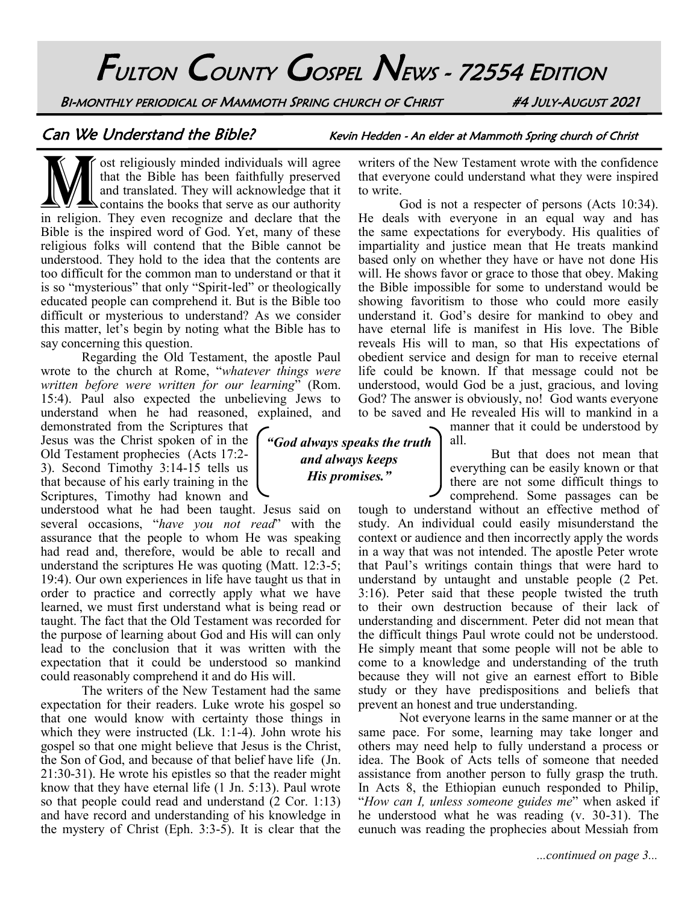FULTON COUNTY GOSPEL NEWS - 72554 EDITION

BI-MONTHLY PERIODICAL OF MAMMOTH SPRING CHURCH OF CHRIST #4 JULY-AUGUST 2021

Can We Understand the Bible? Kevin Hedden - An elder at Mammoth Spring church of Christ

ost religiously minded individuals will agree<br>that the Bible has been faithfully preserved<br>and translated. They will acknowledge that it<br>in religion. They even recognize and declare that the so religiously minded individuals will agree that the Bible has been faithfully preserved and translated. They will acknowledge that it contains the books that serve as our authority Bible is the inspired word of God. Yet, many of these religious folks will contend that the Bible cannot be understood. They hold to the idea that the contents are too difficult for the common man to understand or that it is so "mysterious" that only "Spirit-led" or theologically educated people can comprehend it. But is the Bible too difficult or mysterious to understand? As we consider this matter, let's begin by noting what the Bible has to say concerning this question.

Regarding the Old Testament, the apostle Paul wrote to the church at Rome, "*whatever things were written before were written for our learning*" (Rom. 15:4). Paul also expected the unbelieving Jews to

understand when he had reasoned, explained, and demonstrated from the Scriptures that Jesus was the Christ spoken of in the Old Testament prophecies (Acts 17:2- 3). Second Timothy 3:14-15 tells us that because of his early training in the Scriptures, Timothy had known and

understood what he had been taught. Jesus said on several occasions, "*have you not read*" with the assurance that the people to whom He was speaking had read and, therefore, would be able to recall and understand the scriptures He was quoting (Matt. 12:3-5; 19:4). Our own experiences in life have taught us that in order to practice and correctly apply what we have learned, we must first understand what is being read or taught. The fact that the Old Testament was recorded for the purpose of learning about God and His will can only lead to the conclusion that it was written with the expectation that it could be understood so mankind could reasonably comprehend it and do His will.

The writers of the New Testament had the same expectation for their readers. Luke wrote his gospel so that one would know with certainty those things in which they were instructed (Lk. 1:1-4). John wrote his gospel so that one might believe that Jesus is the Christ, the Son of God, and because of that belief have life (Jn. 21:30-31). He wrote his epistles so that the reader might know that they have eternal life (1 Jn. 5:13). Paul wrote so that people could read and understand (2 Cor. 1:13) and have record and understanding of his knowledge in the mystery of Christ (Eph. 3:3-5). It is clear that the

writers of the New Testament wrote with the confidence that everyone could understand what they were inspired to write.

God is not a respecter of persons (Acts 10:34). He deals with everyone in an equal way and has the same expectations for everybody. His qualities of impartiality and justice mean that He treats mankind based only on whether they have or have not done His will. He shows favor or grace to those that obey. Making the Bible impossible for some to understand would be showing favoritism to those who could more easily understand it. God's desire for mankind to obey and have eternal life is manifest in His love. The Bible reveals His will to man, so that His expectations of obedient service and design for man to receive eternal life could be known. If that message could not be understood, would God be a just, gracious, and loving God? The answer is obviously, no! God wants everyone to be saved and He revealed His will to mankind in a

manner that it could be understood by all.

But that does not mean that everything can be easily known or that there are not some difficult things to comprehend. Some passages can be

tough to understand without an effective method of study. An individual could easily misunderstand the context or audience and then incorrectly apply the words in a way that was not intended. The apostle Peter wrote that Paul's writings contain things that were hard to understand by untaught and unstable people (2 Pet. 3:16). Peter said that these people twisted the truth to their own destruction because of their lack of understanding and discernment. Peter did not mean that the difficult things Paul wrote could not be understood. He simply meant that some people will not be able to come to a knowledge and understanding of the truth because they will not give an earnest effort to Bible study or they have predispositions and beliefs that prevent an honest and true understanding.

Not everyone learns in the same manner or at the same pace. For some, learning may take longer and others may need help to fully understand a process or idea. The Book of Acts tells of someone that needed assistance from another person to fully grasp the truth. In Acts 8, the Ethiopian eunuch responded to Philip, "*How can I, unless someone guides me*" when asked if he understood what he was reading (v. 30-31). The eunuch was reading the prophecies about Messiah from

*"God always speaks the truth and always keeps His promises."*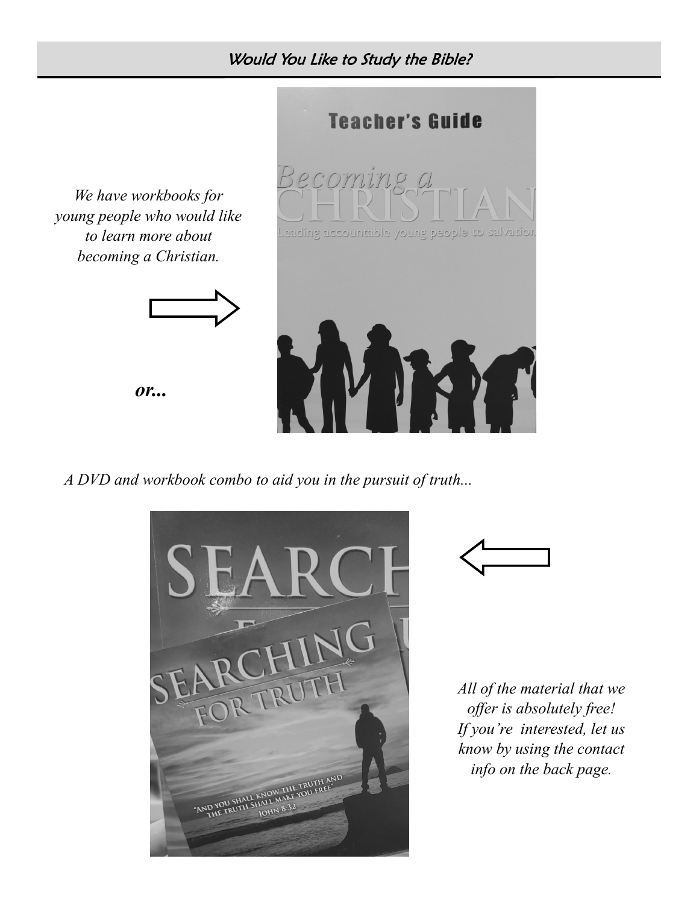Would You Like to Study the Bible?



*A DVD and workbook combo to aid you in the pursuit of truth...*





*All of the material that we offer is absolutely free! If you're interested, let us know by using the contact info on the back page.*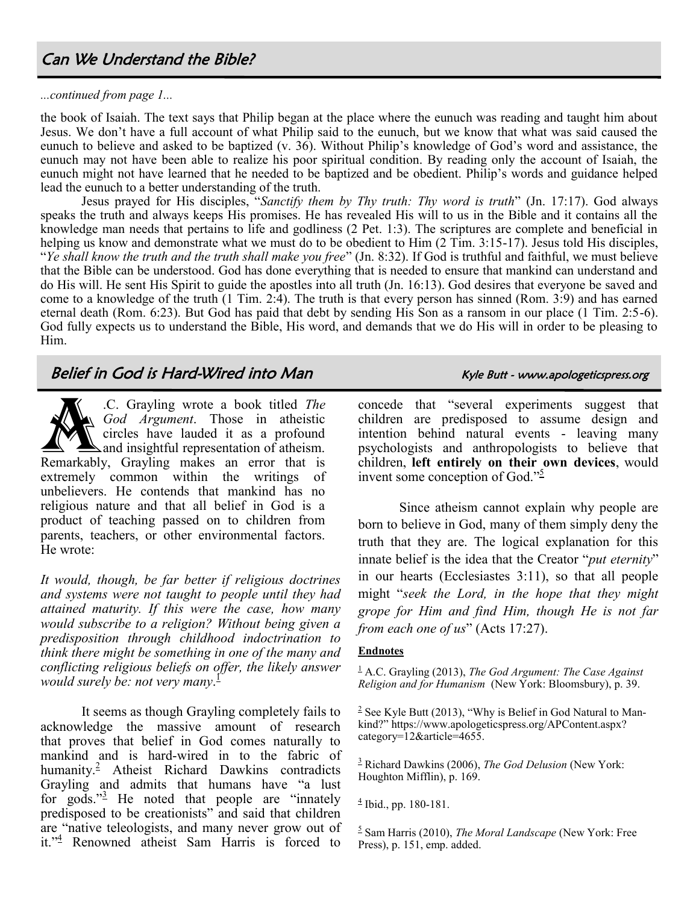## Can We Understand the Bible?

#### *...continued from page 1...*

the book of Isaiah. The text says that Philip began at the place where the eunuch was reading and taught him about Jesus. We don't have a full account of what Philip said to the eunuch, but we know that what was said caused the eunuch to believe and asked to be baptized (v. 36). Without Philip's knowledge of God's word and assistance, the eunuch may not have been able to realize his poor spiritual condition. By reading only the account of Isaiah, the eunuch might not have learned that he needed to be baptized and be obedient. Philip's words and guidance helped lead the eunuch to a better understanding of the truth.

Jesus prayed for His disciples, "*Sanctify them by Thy truth: Thy word is truth*" (Jn. 17:17). God always speaks the truth and always keeps His promises. He has revealed His will to us in the Bible and it contains all the knowledge man needs that pertains to life and godliness (2 Pet. 1:3). The scriptures are complete and beneficial in helping us know and demonstrate what we must do to be obedient to Him (2 Tim. 3:15-17). Jesus told His disciples, "*Ye shall know the truth and the truth shall make you free*" (Jn. 8:32). If God is truthful and faithful, we must believe that the Bible can be understood. God has done everything that is needed to ensure that mankind can understand and do His will. He sent His Spirit to guide the apostles into all truth (Jn. 16:13). God desires that everyone be saved and come to a knowledge of the truth (1 Tim. 2:4). The truth is that every person has sinned (Rom. 3:9) and has earned eternal death (Rom. 6:23). But God has paid that debt by sending His Son as a ransom in our place (1 Tim. 2:5-6). God fully expects us to understand the Bible, His word, and demands that we do His will in order to be pleasing to Him.

# Belief in God is Hard-Wired into Man Kyle Butt - www.apologeticspress.org

C. Grayling wrote a book titled The<br>God Argument. Those in atheistic<br>circles have lauded it as a profound<br>and insightful representation of atheism.<br>Remarkably, Grayling makes an error that is .C. Grayling wrote a book titled *The God Argument*. Those in atheistic circles have lauded it as a profound  $\Delta$  and insightful representation of atheism. extremely common within the writings of unbelievers. He contends that mankind has no religious nature and that all belief in God is a product of teaching passed on to children from parents, teachers, or other environmental factors. He wrote:

*It would, though, be far better if religious doctrines and systems were not taught to people until they had attained maturity. If this were the case, how many would subscribe to a religion? Without being given a predisposition through childhood indoctrination to think there might be something in one of the many and conflicting religious beliefs on offer, the likely answer would surely be: not very many*. [1](https://apologeticspress.org/APContent.aspx?category=12&article=5662#_edn1)

It seems as though Grayling completely fails to acknowledge the massive amount of research that proves that belief in God comes naturally to mankind and is hard-wired in to the fabric of humanity.[2](https://apologeticspress.org/APContent.aspx?category=12&article=5662#_edn2) Atheist Richard Dawkins contradicts Grayling and admits that humans have "a lust for gods." $\frac{3}{2}$  $\frac{3}{2}$  $\frac{3}{2}$  He noted that people are "innately predisposed to be creationists" and said that children are "native teleologists, and many never grow out of it."[4](https://apologeticspress.org/APContent.aspx?category=12&article=5662#_edn4) Renowned atheist Sam Harris is forced to

concede that "several experiments suggest that children are predisposed to assume design and intention behind natural events - leaving many psychologists and anthropologists to believe that children, **left entirely on their own devices**, would invent some conception of God." $\frac{5}{2}$  $\frac{5}{2}$  $\frac{5}{2}$ 

Since atheism cannot explain why people are born to believe in God, many of them simply deny the truth that they are. The logical explanation for this innate belief is the idea that the Creator "*put eternity*" in our hearts (Ecclesiastes 3:11), so that all people might "*seek the Lord, in the hope that they might grope for Him and find Him, though He is not far from each one of us*" (Acts 17:27).

### **Endnotes**

[1](https://apologeticspress.org/APContent.aspx?category=12&article=5662#_ednref1) A.C. Grayling (2013), *The God Argument: The Case Against Religion and for Humanism* (New York: Bloomsbury), p. 39.

 $2$  See Kyle Butt (2013), "Why is Belief in God Natural to Mankind?" https://www.apologeticspress.org/APContent.aspx? category=12&article=4655.

[3](https://apologeticspress.org/APContent.aspx?category=12&article=5662#_ednref3) Richard Dawkins (2006), *The God Delusion* (New York: Houghton Mifflin), p. 169.

[4](https://apologeticspress.org/APContent.aspx?category=12&article=5662#_ednref4) Ibid., pp. 180-181.

[5](https://apologeticspress.org/APContent.aspx?category=12&article=5662#_ednref5) Sam Harris (2010), *The Moral Landscape* (New York: Free Press), p. 151, emp. added.